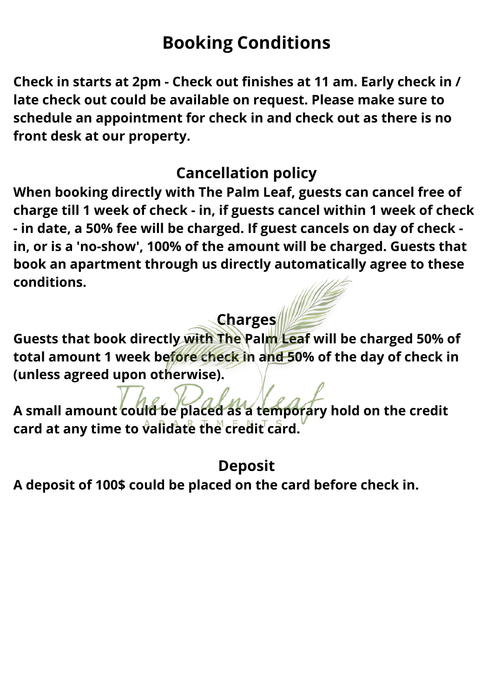## **Booking Conditions**

**Check in starts at 2pm - Check out finishes at 11 am. Early check in / late check out could be available on request. Please make sure to schedule an appointment for check in and check out as there is no front desk at our property.**

### **Cancellation policy**

**When booking directly with The Palm Leaf, guests can cancel free of charge till 1 week of check - in, if guests cancel within 1 week of check - in date, a 50% fee will be charged. If guest cancels on day of check in, or is a 'no-show', 100% of the amount will be charged. Guests that book an apartment through us directly automatically agree to these conditions.**

## **Charges**

**Guests that book directly with The Palm Leaf will be charged 50% of total amount 1 week before check in and 50% of the day of check in (unless agreed upon otherwise).**

**A small amount could be placed as a temporary hold on the credit card at any time to validate the credit card.**

### **Deposit**

**A deposit of 100\$ could be placed on the card before check in.**